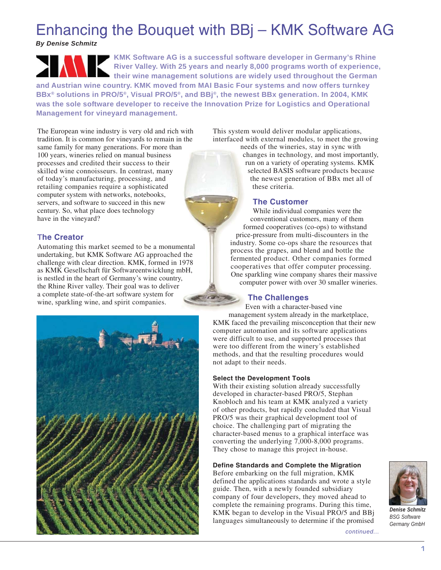# Enhancing the Bouquet with BBj – KMK Software AG

*By Denise Schmitz*

**KMK Software AG is a successful software developer in Germany's Rhine River Valley. With 25 years and nearly 8,000 programs worth of experience, their wine management solutions are widely used throughout the German**

**and Austrian wine country. KMK moved from MAI Basic Four systems and now offers turnkey BBx® solutions in PRO/5®, Visual PRO/5®, and BBj®, the newest BBx generation. In 2004, KMK was the sole software developer to receive the Innovation Prize for Logistics and Operational Management for vineyard management.**

The European wine industry is very old and rich with tradition. It is common for vineyards to remain in the same family for many generations. For more than 100 years, wineries relied on manual business processes and credited their success to their skilled wine connoisseurs. In contrast, many of today's manufacturing, processing, and retailing companies require a sophisticated computer system with networks, notebooks, servers, and software to succeed in this new century. So, what place does technology have in the vineyard?

# **The Creator**

Automating this market seemed to be a monumental undertaking, but KMK Software AG approached the challenge with clear direction. KMK, formed in 1978 as KMK Gesellschaft für Softwareentwicklung mbH, is nestled in the heart of Germany's wine country, the Rhine River valley. Their goal was to deliver a complete state-of-the-art software system for wine, sparkling wine, and spirit companies.



This system would deliver modular applications, interfaced with external modules, to meet the growing

needs of the wineries, stay in sync with changes in technology, and most importantly, run on a variety of operating systems. KMK selected BASIS software products because the newest generation of BBx met all of these criteria.

## **The Customer**

While individual companies were the conventional customers, many of them formed cooperatives (co-ops) to withstand price-pressure from multi-discounters in the industry. Some co-ops share the resources that process the grapes, and blend and bottle the fermented product. Other companies formed cooperatives that offer computer processing. One sparkling wine company shares their massive computer power with over 30 smaller wineries.

## **The Challenges**

Even with a character-based vine management system already in the marketplace, KMK faced the prevailing misconception that their new computer automation and its software applications were difficult to use, and supported processes that were too different from the winery's established methods, and that the resulting procedures would not adapt to their needs.

#### **Select the Development Tools**

With their existing solution already successfully developed in character-based PRO/5, Stephan Knobloch and his team at KMK analyzed a variety of other products, but rapidly concluded that Visual PRO/5 was their graphical development tool of choice. The challenging part of migrating the character-based menus to a graphical interface was converting the underlying 7,000-8,000 programs. They chose to manage this project in-house.

## **Define Standards and Complete the Migration**

Before embarking on the full migration, KMK defined the applications standards and wrote a style guide. Then, with a newly founded subsidiary company of four developers, they moved ahead to complete the remaining programs. During this time, KMK began to develop in the Visual PRO/5 and BBj languages simultaneously to determine if the promised



*Denise Schmitz BSG Software Germany GmbH*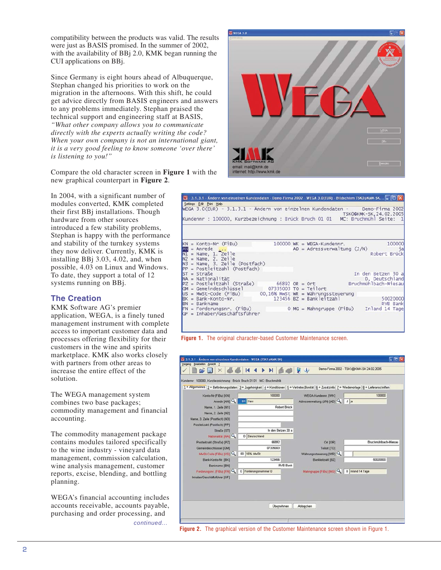compatibility between the products was valid. The results were just as BASIS promised. In the summer of 2002, with the availability of BBj 2.0, KMK began running the CUI applications on BBj.

Since Germany is eight hours ahead of Albuquerque, Stephan changed his priorities to work on the migration in the afternoons. With this shift, he could get advice directly from BASIS engineers and answers to any problems immediately. Stephan praised the technical support and engineering staff at BASIS, *"What other company allows you to communicate directly with the experts actually writing the code? When your own company is not an international giant, it is a very good feeling to know someone 'over there' is listening to you!"*

Compare the old character screen in **Figure 1** with the new graphical counterpart in **Figure 2**.

In 2004, with a significant number of modules converted, KMK completed their first BBj installations. Though hardware from other sources introduced a few stability problems, Stephan is happy with the performance and stability of the turnkey systems they now deliver. Currently, KMK is installing BBj 3.03, 4.02, and, when possible, 4.03 on Linux and Windows. To date, they support a total of 12 systems running on BBj.

# **The Creation**

KMK Software AG's premier application, WEGA, is a finely tuned management instrument with complete access to important customer data and processes offering flexibility for their customers in the wine and spirits marketplace. KMK also works closely with partners from other areas to increase the entire effect of the solution.

The WEGA management system combines two base packages; commodity management and financial accounting.

The commodity management package contains modules tailored specifically to the wine industry - vineyard data management, commission calculation, wine analysis management, customer reports, excise, blending, and bottling planning.

WEGA's financial accounting includes accounts receivable, accounts payable, purchasing and order processing, and *continued...*



|              | W - 3.1.3.1 - Ändern von einzelnen Kundendaten - Demo-Firma 2002 - WEGA 3.0(EUR) - Bildschirm TSKO@KMK-SK  L   □  X<br>Settings Edit Print Help<br>WEGA 3.0(EUR) - 3.1.3.1 - Ändern von einzelnen Kundendaten - Demo-Firma 2002<br>Kundennr : 100000, Kurzbezeichnung : Brück Bruch 01 01 MC: Bruchmühl Seite: 1 |  |                                                               | TSK0@KMK-SK, 24.02.2005                                                  |
|--------------|------------------------------------------------------------------------------------------------------------------------------------------------------------------------------------------------------------------------------------------------------------------------------------------------------------------|--|---------------------------------------------------------------|--------------------------------------------------------------------------|
|              | $KN = Konto-Nr$ (FiBu)<br>$AN = A n$ rede $\ldots$<br>$NI = Name, 1. Zeile$<br>$N2 = Name, 2. Zeile$<br>$N3$ = Name, 3. Zeile (Postfach)<br>$PP = Postleitzah1 (Postfach)$                                                                                                                                       |  | $100000$ WK = WEGA-Kundennr.<br>$AD = Adressverwaltung (J/N)$ | 100000<br>1a<br>Robert Brück                                             |
| $ST = Str_4$ | $NA = Nationalität$<br>$PZ = Postleitzah1 (StraBe)$ 66892 OR = Ort<br>$GM = Gemeindeschlüssel$<br>$US = Mwst-Code (FiBu)$<br>$BK = Bank-Konto-Nr.$<br>$D,16% Mwst WR = Währungssteuerung 123456 BZ = Bankleitzahl$                                                                                               |  |                                                               | In den Betzen 30 a<br>D, Deutschland<br>Bruchmühlbach-Miesau             |
|              | $BN = Bankname$<br>$FN = Forderungsnr.$ (FiBu)<br>GF = Inhaber/Geschäftsführer                                                                                                                                                                                                                                   |  |                                                               | 50020000<br><b>RVB Bank</b><br>$0$ MG = Mahngruppe (FiBu) Inland 14 Tage |

**Figure 1.** The original character-based Customer Maintenance screen.

|                                | 1 = Allgemeines   2 = Beförderungsdaten   3 = Zugehörigkeit   4 = Konditionen   5 = Vertreter, Bonität   6 = Zusatzinfo   7 = Wiedervorlage   8 = Lieferanschriften |                             |                      |
|--------------------------------|---------------------------------------------------------------------------------------------------------------------------------------------------------------------|-----------------------------|----------------------|
| Konto-Nr (FiBu) [KN]           | 100000                                                                                                                                                              | WEGA-Kundennr. [WK]         | 100000               |
| Anrede [AN]                    | 01 Herr                                                                                                                                                             | Adressverwaltung (J/N) [AD] | J ja                 |
| Name, 1. Zeile [N1]            | <b>Robert Brück</b>                                                                                                                                                 |                             |                      |
| Name, 2. Zeile [N2]            |                                                                                                                                                                     |                             |                      |
| Name, 3. Zeile (Postfach) [N3] |                                                                                                                                                                     |                             |                      |
| Postleitzahl (Postfach) [PP]   |                                                                                                                                                                     |                             |                      |
| Straße [ST]                    | In den Betzen 30 a                                                                                                                                                  |                             |                      |
| Nationalität [NA]              | D Deutschland                                                                                                                                                       |                             |                      |
| Postleitzahl (Straße) [PZ]     | 66892                                                                                                                                                               | Ort [OR]                    | Bruchmühlbach-Miesau |
| Gemeindeschlüssel [GM]         | 07335003                                                                                                                                                            | Teilort [TO]                |                      |
| MwSt-Code (FiBu) [US]          | 00 16% MwSt                                                                                                                                                         | Währungssteuerung [WR]      |                      |
| Bank-Konto-Nr. [BK]            | 123456                                                                                                                                                              | Bankleitzahl (BZ)           | 50020000             |
| Bankname [BN]                  | <b>RVB Bank</b>                                                                                                                                                     |                             |                      |
| Forderungsnr. (FiBu) [FN]      | 0 Forderungsnummer 0                                                                                                                                                | Mahngruppe (FiBu) [MG]      | 0 Inland 14 Tage     |
| Inhaber/Geschäftsführer [GF]   |                                                                                                                                                                     |                             |                      |

**Figure 2.** The graphical version of the Customer Maintenance screen shown in Figure 1.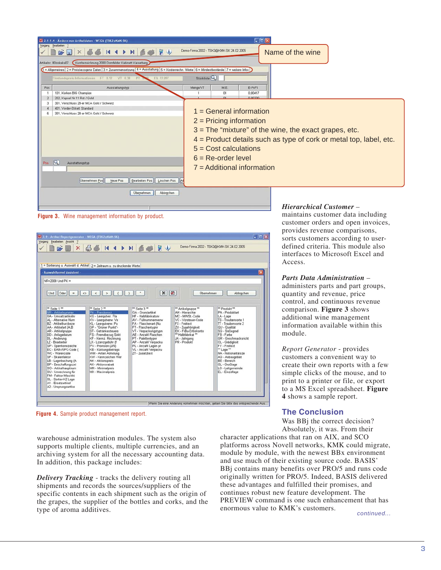

**Figure 3.** Wine management information by product.



**Figure 4.** Sample product management report.

warehouse administration modules. The system also supports multiple clients, multiple currencies, and an archiving system for all the necessary accounting data. In addition, this package includes:

*Delivery Tracking* - tracks the delivery routing all shipments and records the sources/suppliers of the specific contents in each shipment such as the origin of the grapes, the supplier of the bottles and corks, and the type of aroma additives.

maintains customer data including customer orders and open invoices, provides revenue comparisons, sorts customers according to userdefined criteria. This module also interfaces to Microsoft Excel and Access.

## *Parts Data Administration* –

administers parts and part groups, quantity and revenue, price control, and continuous revenue comparison. **Figure 3** shows additional wine management information available within this module.

*Report Generator* - provides customers a convenient way to create their own reports with a few simple clicks of the mouse, and to print to a printer or file, or export to a MS Excel spreadsheet. **Figure 4** shows a sample report.

# **The Conclusion**

Was BBj the correct decision? Absolutely, it was. From their

character applications that ran on AIX, and SCO platforms across Novell networks, KMK could migrate, module by module, with the newest BBx environment and use much of their existing source code. BASIS' BBj contains many benefits over PRO/5 and runs code originally written for PRO/5. Indeed, BASIS delivered these advantages and fulfilled their promises, and continues robust new feature development. The PREVIEW command is one such enhancement that has enormous value to KMK's customers.

*continued...*